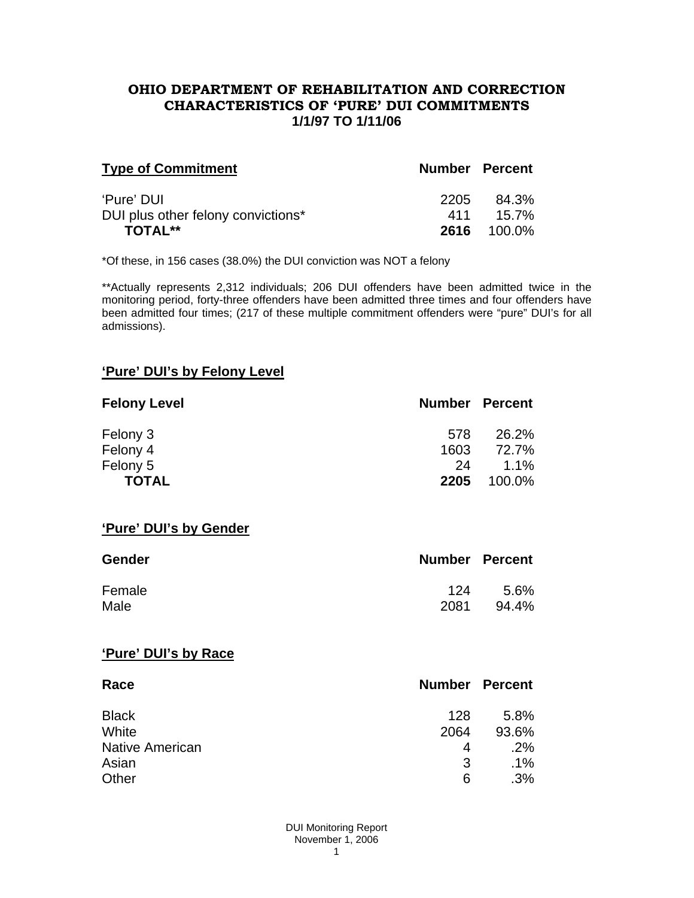#### **OHIO DEPARTMENT OF REHABILITATION AND CORRECTION CHARACTERISTICS OF 'PURE' DUI COMMITMENTS 1/1/97 TO 1/11/06**

| <b>Type of Commitment</b>                        | <b>Number Percent</b> |                    |
|--------------------------------------------------|-----------------------|--------------------|
| 'Pure' DUI<br>DUI plus other felony convictions* | 2205<br>411           | 84.3%<br>$15.7\%$  |
| <b>TOTAL**</b>                                   |                       | <b>2616</b> 100.0% |

\*Of these, in 156 cases (38.0%) the DUI conviction was NOT a felony

\*\*Actually represents 2,312 individuals; 206 DUI offenders have been admitted twice in the monitoring period, forty-three offenders have been admitted three times and four offenders have been admitted four times; (217 of these multiple commitment offenders were "pure" DUI's for all admissions).

## **'Pure' DUI's by Felony Level**

| <b>Felony Level</b> | <b>Number Percent</b> |         |
|---------------------|-----------------------|---------|
| Felony 3            | 578                   | 26.2%   |
| Felony 4            | 1603                  | 72.7%   |
| Felony 5            | 24                    | $1.1\%$ |
| <b>TOTAL</b>        | 2205                  | 100.0%  |

## **'Pure' DUI's by Gender**

| <b>Gender</b> | <b>Number Percent</b> |       |
|---------------|-----------------------|-------|
| Female        | 124                   | 5.6%  |
| Male          | 2081                  | 94.4% |

#### **'Pure' DUI's by Race**

| Race                   | <b>Number Percent</b> |        |
|------------------------|-----------------------|--------|
| <b>Black</b>           | 128                   | 5.8%   |
| White                  | 2064                  | 93.6%  |
| <b>Native American</b> | 4                     | .2%    |
| Asian                  | 3                     | $.1\%$ |
| Other                  | 6                     | .3%    |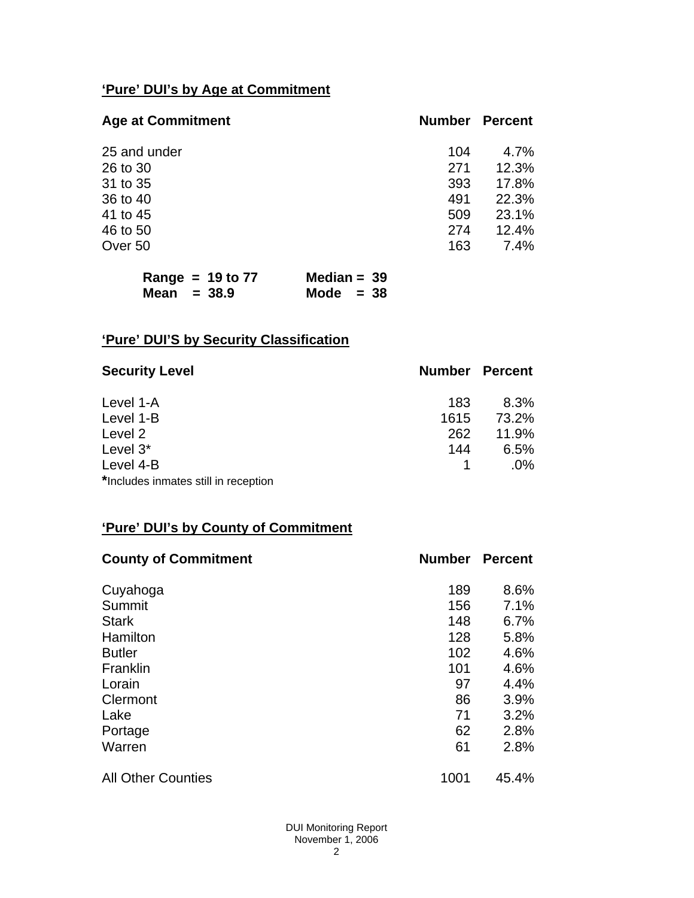# **'Pure' DUI's by Age at Commitment**

| <b>Age at Commitment</b> | <b>Number</b> | <b>Percent</b> |
|--------------------------|---------------|----------------|
| 25 and under             | 104           | 4.7%           |
| 26 to 30                 | 271           | 12.3%          |
| 31 to 35                 | 393           | 17.8%          |
| 36 to 40                 | 491           | 22.3%          |
| 41 to 45                 | 509           | 23.1%          |
| 46 to 50                 | 274           | 12.4%          |
| Over 50                  | 163           | $7.4\%$        |

| Range = $19$ to 77 | Median = $39$ |
|--------------------|---------------|
| Mean $= 38.9$      | Mode $= 38$   |

# **'Pure' DUI'S by Security Classification**

| <b>Security Level</b>                | <b>Number Percent</b> |        |
|--------------------------------------|-----------------------|--------|
| Level 1-A                            | 183                   | 8.3%   |
| Level 1-B                            | 1615                  | 73.2%  |
| Level 2                              | 262                   | 11.9%  |
| Level 3*                             | 144                   | 6.5%   |
| Level 4-B                            |                       | $.0\%$ |
| *Includes inmates still in reception |                       |        |

# **'Pure' DUI's by County of Commitment**

| <b>County of Commitment</b> | <b>Number</b> | <b>Percent</b> |
|-----------------------------|---------------|----------------|
| Cuyahoga                    | 189           | 8.6%           |
| Summit                      | 156           | 7.1%           |
| <b>Stark</b>                | 148           | 6.7%           |
| Hamilton                    | 128           | 5.8%           |
| <b>Butler</b>               | 102           | 4.6%           |
| Franklin                    | 101           | 4.6%           |
| Lorain                      | 97            | 4.4%           |
| Clermont                    | 86            | 3.9%           |
| Lake                        | 71            | 3.2%           |
| Portage                     | 62            | 2.8%           |
| Warren                      | 61            | 2.8%           |
| <b>All Other Counties</b>   | 1001          | 45.4%          |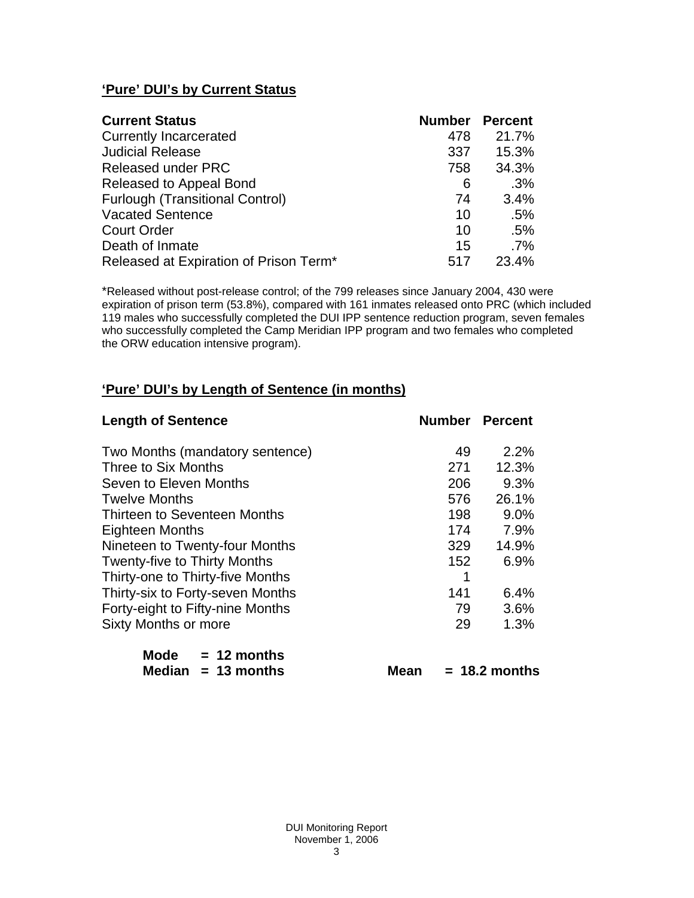# **'Pure' DUI's by Current Status**

| <b>Current Status</b>                  | <b>Number Percent</b> |        |
|----------------------------------------|-----------------------|--------|
| <b>Currently Incarcerated</b>          | 478                   | 21.7%  |
| <b>Judicial Release</b>                | 337                   | 15.3%  |
| <b>Released under PRC</b>              | 758                   | 34.3%  |
| Released to Appeal Bond                | 6                     | .3%    |
| <b>Furlough (Transitional Control)</b> | 74                    | 3.4%   |
| <b>Vacated Sentence</b>                | 10                    | .5%    |
| <b>Court Order</b>                     | 10                    | .5%    |
| Death of Inmate                        | 15                    | $.7\%$ |
| Released at Expiration of Prison Term* | 517                   | 23.4%  |

\*Released without post-release control; of the 799 releases since January 2004, 430 were expiration of prison term (53.8%), compared with 161 inmates released onto PRC (which included 119 males who successfully completed the DUI IPP sentence reduction program, seven females who successfully completed the Camp Meridian IPP program and two females who completed the ORW education intensive program).

# **'Pure' DUI's by Length of Sentence (in months)**

| <b>Length of Sentence</b>           |                  | <b>Number Percent</b> |
|-------------------------------------|------------------|-----------------------|
| Two Months (mandatory sentence)     | 49               | 2.2%                  |
| Three to Six Months                 | 271              | 12.3%                 |
| Seven to Eleven Months              | 206              | 9.3%                  |
| <b>Twelve Months</b>                | 576              | 26.1%                 |
| Thirteen to Seventeen Months        | 198              | 9.0%                  |
| <b>Eighteen Months</b>              | 174              | 7.9%                  |
| Nineteen to Twenty-four Months      | 329              | 14.9%                 |
| <b>Twenty-five to Thirty Months</b> | 152 <sub>1</sub> | 6.9%                  |
| Thirty-one to Thirty-five Months    | 1                |                       |
| Thirty-six to Forty-seven Months    | 141              | 6.4%                  |
| Forty-eight to Fifty-nine Months    | 79               | 3.6%                  |
| <b>Sixty Months or more</b>         | 29               | 1.3%                  |
| Mode $= 12$ months                  |                  |                       |
| Median $= 13$ months                | Mean             | $= 18.2$ months       |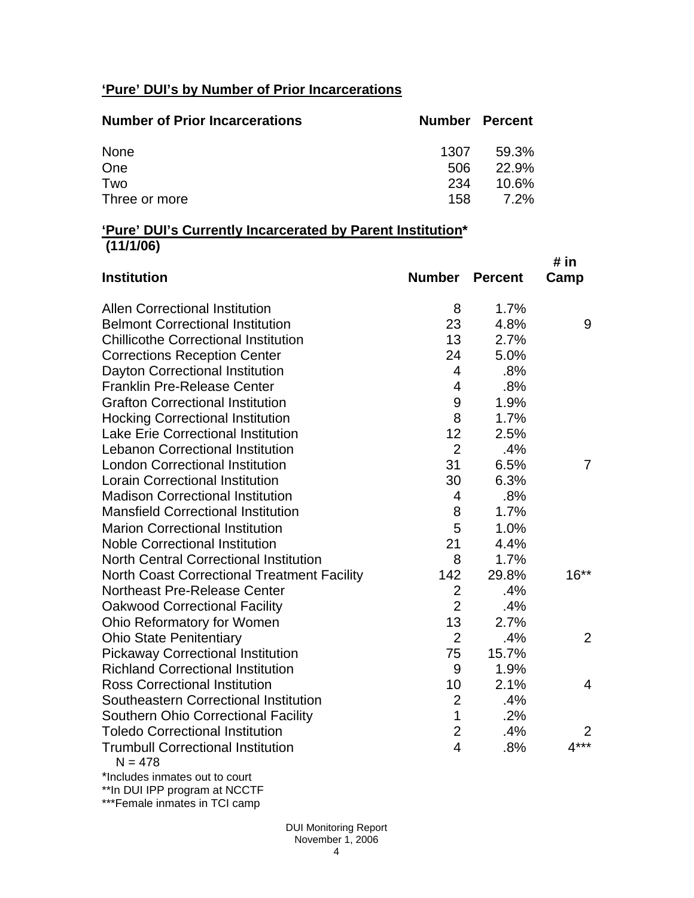# **'Pure' DUI's by Number of Prior Incarcerations**

| <b>Number of Prior Incarcerations</b> | Number Percent |          |
|---------------------------------------|----------------|----------|
| None                                  | 1307           | 59.3%    |
| One                                   | 506            | 22.9%    |
| Two                                   | 234            | $10.6\%$ |
| Three or more                         | 158.           | 7.2%     |

## **'Pure' DUI's Currently Incarcerated by Parent Institution\* (11/1/06)**

| <b>Institution</b>                                    | Number         | <b>Percent</b> | # in<br>Camp   |
|-------------------------------------------------------|----------------|----------------|----------------|
| <b>Allen Correctional Institution</b>                 | 8              | 1.7%           |                |
| <b>Belmont Correctional Institution</b>               | 23             | 4.8%           | 9              |
| <b>Chillicothe Correctional Institution</b>           | 13             | 2.7%           |                |
| <b>Corrections Reception Center</b>                   | 24             | 5.0%           |                |
| Dayton Correctional Institution                       | 4              | .8%            |                |
| <b>Franklin Pre-Release Center</b>                    | $\overline{4}$ | .8%            |                |
| <b>Grafton Correctional Institution</b>               | 9              | 1.9%           |                |
| <b>Hocking Correctional Institution</b>               | 8              | 1.7%           |                |
| Lake Erie Correctional Institution                    | 12             | 2.5%           |                |
| <b>Lebanon Correctional Institution</b>               | $\overline{2}$ | .4%            |                |
| <b>London Correctional Institution</b>                | 31             | 6.5%           | 7              |
| <b>Lorain Correctional Institution</b>                | 30             | 6.3%           |                |
| <b>Madison Correctional Institution</b>               | 4              | .8%            |                |
| <b>Mansfield Correctional Institution</b>             | 8              | 1.7%           |                |
| <b>Marion Correctional Institution</b>                | 5              | 1.0%           |                |
| <b>Noble Correctional Institution</b>                 | 21             | 4.4%           |                |
| North Central Correctional Institution                | 8              | 1.7%           |                |
| <b>North Coast Correctional Treatment Facility</b>    | 142            | 29.8%          | $16**$         |
| <b>Northeast Pre-Release Center</b>                   | $\overline{2}$ | .4%            |                |
| <b>Oakwood Correctional Facility</b>                  | $\overline{2}$ | .4%            |                |
| Ohio Reformatory for Women                            | 13             | 2.7%           |                |
| <b>Ohio State Penitentiary</b>                        | $\overline{2}$ | .4%            | 2              |
| <b>Pickaway Correctional Institution</b>              | 75             | 15.7%          |                |
| <b>Richland Correctional Institution</b>              | 9              | 1.9%           |                |
| <b>Ross Correctional Institution</b>                  | 10             | 2.1%           | $\overline{4}$ |
| Southeastern Correctional Institution                 | $\overline{2}$ | .4%            |                |
| <b>Southern Ohio Correctional Facility</b>            | $\mathbf{1}$   | .2%            |                |
| <b>Toledo Correctional Institution</b>                | $\overline{2}$ | .4%            | 2              |
| <b>Trumbull Correctional Institution</b><br>$N = 478$ | $\overline{4}$ | .8%            | $4***$         |
| * La alcoala a diamanta a carrietta carried           |                |                |                |

\*Includes inmates out to court \*\*In DUI IPP program at NCCTF

\*\*\*Female inmates in TCI camp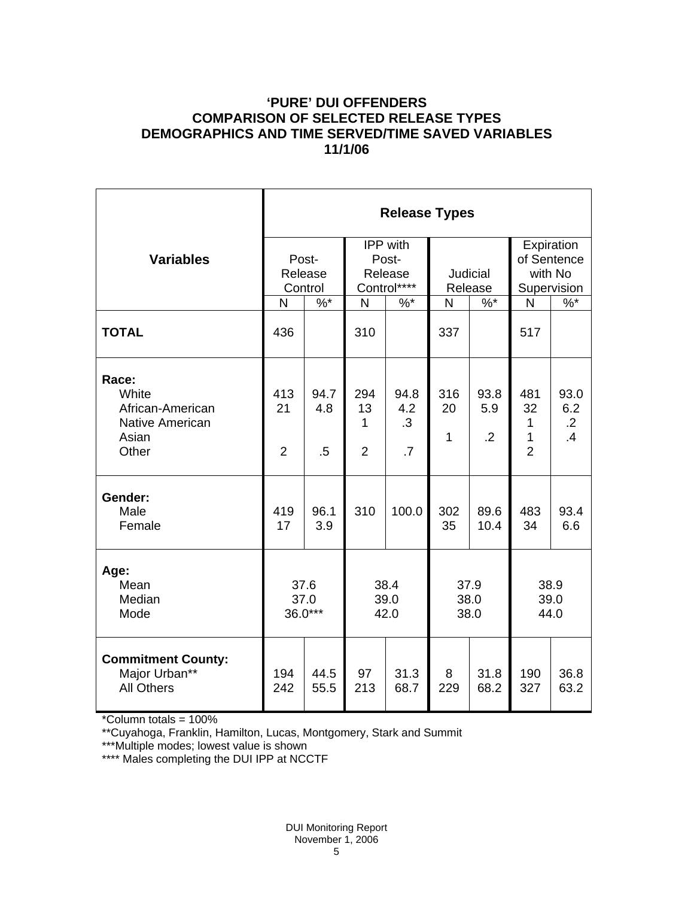# **'PURE' DUI OFFENDERS COMPARISON OF SELECTED RELEASE TYPES DEMOGRAPHICS AND TIME SERVED/TIME SAVED VARIABLES 11/1/06**

|                                                                                | <b>Release Types</b>        |                                                                         |                                                    |                                      |                           |                               |                                                     |                                 |  |
|--------------------------------------------------------------------------------|-----------------------------|-------------------------------------------------------------------------|----------------------------------------------------|--------------------------------------|---------------------------|-------------------------------|-----------------------------------------------------|---------------------------------|--|
| <b>Variables</b>                                                               | Post-<br>Release<br>Control |                                                                         | <b>IPP</b> with<br>Post-<br>Release<br>Control**** |                                      | Judicial<br>Release       |                               | Expiration<br>of Sentence<br>with No<br>Supervision |                                 |  |
|                                                                                | N                           | $\%$ *                                                                  | $\mathsf{N}$                                       | $%$ *                                | N                         | $\%$ *                        | N                                                   | $\%$                            |  |
| <b>TOTAL</b>                                                                   | 436                         |                                                                         | 310                                                |                                      | 337                       |                               | 517                                                 |                                 |  |
| Race:<br>White<br>African-American<br><b>Native American</b><br>Asian<br>Other | 413<br>21<br>$\overline{2}$ | 94.7<br>4.8<br>$.5\,$                                                   | 294<br>13<br>1<br>$\overline{2}$                   | 94.8<br>4.2<br>.3<br>$\overline{.7}$ | 316<br>20<br>$\mathbf{1}$ | 93.8<br>5.9<br>$\overline{2}$ | 481<br>32<br>1<br>1<br>$\overline{2}$               | 93.0<br>6.2<br>$\cdot$ .2<br>.4 |  |
| Gender:<br>Male<br>Female                                                      | 419<br>17                   | 96.1<br>3.9                                                             | 310                                                | 100.0                                | 302<br>35                 | 89.6<br>10.4                  | 483<br>34                                           | 93.4<br>6.6                     |  |
| Age:<br>Mean<br>Median<br>Mode                                                 |                             | 38.4<br>37.6<br>37.9<br>39.0<br>37.0<br>38.0<br>36.0***<br>42.0<br>38.0 |                                                    |                                      | 38.9<br>39.0<br>44.0      |                               |                                                     |                                 |  |
| <b>Commitment County:</b><br>Major Urban**<br><b>All Others</b>                | 194<br>242                  | 44.5<br>55.5                                                            | 97<br>213                                          | 31.3<br>68.7                         | 8<br>229                  | 31.8<br>68.2                  | 190<br>327                                          | 36.8<br>63.2                    |  |

\*Column totals = 100%

\*\*Cuyahoga, Franklin, Hamilton, Lucas, Montgomery, Stark and Summit

\*\*\*Multiple modes; lowest value is shown

\*\*\*\* Males completing the DUI IPP at NCCTF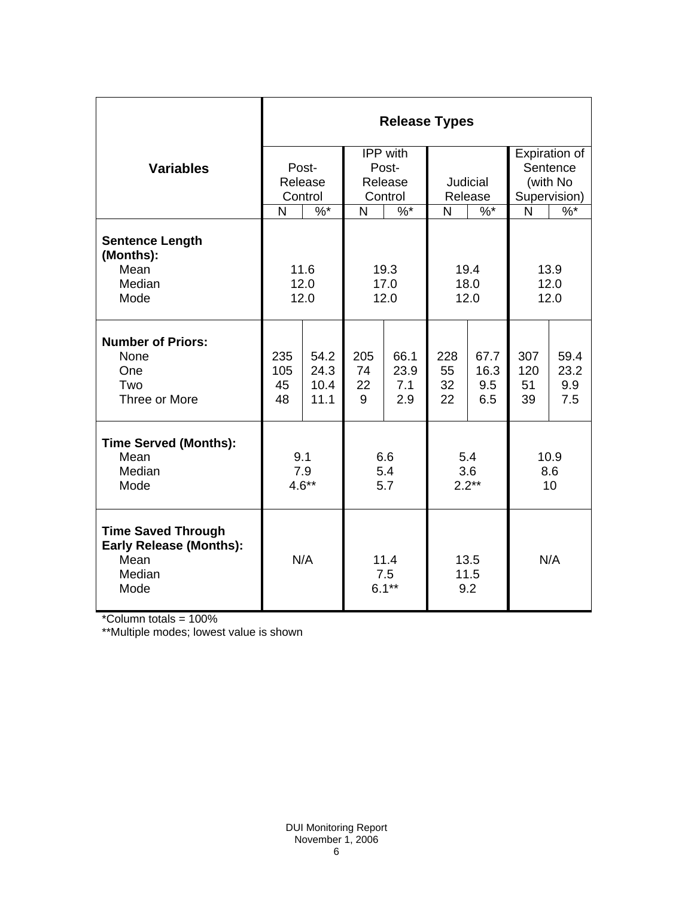|                                                                                               | <b>Release Types</b>        |                                                                                                                            |                                         |                                              |                       |                            |                                                       |                            |  |
|-----------------------------------------------------------------------------------------------|-----------------------------|----------------------------------------------------------------------------------------------------------------------------|-----------------------------------------|----------------------------------------------|-----------------------|----------------------------|-------------------------------------------------------|----------------------------|--|
| <b>Variables</b>                                                                              | Post-<br>Release<br>Control |                                                                                                                            | IPP with<br>Post-<br>Release<br>Control |                                              | Judicial<br>Release   |                            | Expiration of<br>Sentence<br>(with No<br>Supervision) |                            |  |
| <b>Sentence Length</b><br>(Months):<br>Mean<br>Median<br>Mode                                 |                             | $\%$ *<br>$\%$ *<br>$\frac{9}{6}$ *<br>N<br>N<br>N<br>11.6<br>19.4<br>19.3<br>12.0<br>18.0<br>17.0<br>12.0<br>12.0<br>12.0 |                                         | $\frac{9}{6}$ *<br>N<br>13.9<br>12.0<br>12.0 |                       |                            |                                                       |                            |  |
| <b>Number of Priors:</b><br>None<br>One<br>Two<br>Three or More                               | 235<br>105<br>45<br>48      | 54.2<br>24.3<br>10.4<br>11.1                                                                                               | 205<br>74<br>22<br>9                    | 66.1<br>23.9<br>7.1<br>2.9                   | 228<br>55<br>32<br>22 | 67.7<br>16.3<br>9.5<br>6.5 | 307<br>120<br>51<br>39                                | 59.4<br>23.2<br>9.9<br>7.5 |  |
| <b>Time Served (Months):</b><br>Mean<br>Median<br>Mode                                        | 9.1<br>7.9<br>$4.6**$       |                                                                                                                            | 6.6<br>5.4<br>5.7                       |                                              | 5.4<br>3.6<br>$2.2**$ |                            | 10.9<br>8.6<br>10                                     |                            |  |
| <b>Time Saved Through</b><br><b>Early Release (Months):</b><br>Mean<br>Median<br>Mode<br>1000 | N/A                         |                                                                                                                            | 11.4<br>7.5<br>$6.1***$                 |                                              | 13.5<br>11.5<br>9.2   |                            | N/A                                                   |                            |  |

\*Column totals = 100%

\*\*Multiple modes; lowest value is shown